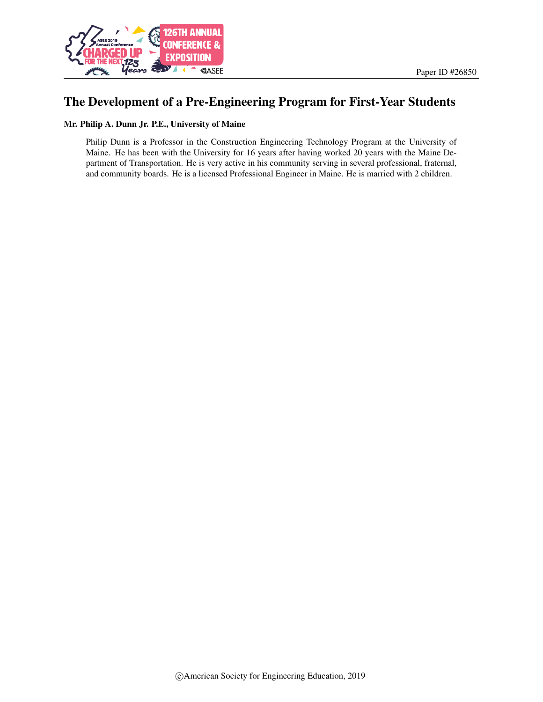

## The Development of a Pre-Engineering Program for First-Year Students

#### Mr. Philip A. Dunn Jr. P.E., University of Maine

Philip Dunn is a Professor in the Construction Engineering Technology Program at the University of Maine. He has been with the University for 16 years after having worked 20 years with the Maine Department of Transportation. He is very active in his community serving in several professional, fraternal, and community boards. He is a licensed Professional Engineer in Maine. He is married with 2 children.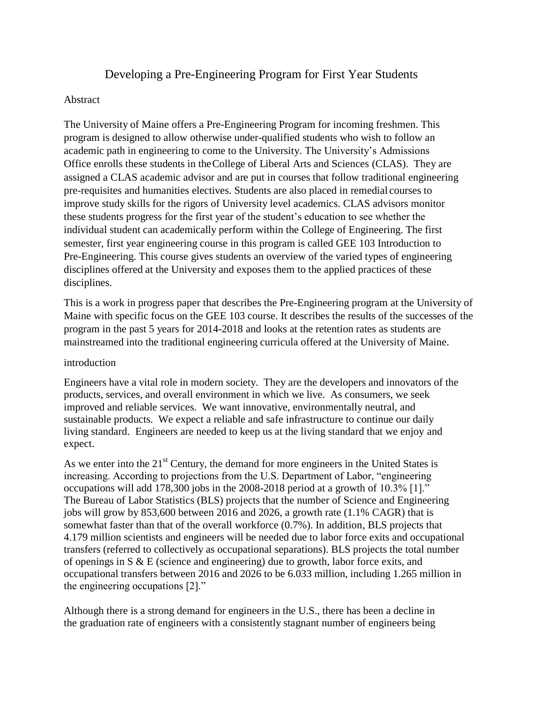# Developing a Pre-Engineering Program for First Year Students

### Abstract

The University of Maine offers a Pre-Engineering Program for incoming freshmen. This program is designed to allow otherwise under-qualified students who wish to follow an academic path in engineering to come to the University. The University's Admissions Office enrolls these students in theCollege of Liberal Arts and Sciences (CLAS). They are assigned a CLAS academic advisor and are put in courses that follow traditional engineering pre-requisites and humanities electives. Students are also placed in remedial courses to improve study skills for the rigors of University level academics. CLAS advisors monitor these students progress for the first year of the student's education to see whether the individual student can academically perform within the College of Engineering. The first semester, first year engineering course in this program is called GEE 103 Introduction to Pre-Engineering. This course gives students an overview of the varied types of engineering disciplines offered at the University and exposes them to the applied practices of these disciplines.

This is a work in progress paper that describes the Pre-Engineering program at the University of Maine with specific focus on the GEE 103 course. It describes the results of the successes of the program in the past 5 years for 2014-2018 and looks at the retention rates as students are mainstreamed into the traditional engineering curricula offered at the University of Maine.

### introduction

Engineers have a vital role in modern society. They are the developers and innovators of the products, services, and overall environment in which we live. As consumers, we seek improved and reliable services. We want innovative, environmentally neutral, and sustainable products. We expect a reliable and safe infrastructure to continue our daily living standard. Engineers are needed to keep us at the living standard that we enjoy and expect.

As we enter into the  $21<sup>st</sup>$  Century, the demand for more engineers in the United States is increasing. According to projections from the U.S. Department of Labor, "engineering occupations will add 178,300 jobs in the 2008-2018 period at a growth of 10.3% [1]." The Bureau of Labor Statistics (BLS) projects that the number of Science and Engineering jobs will grow by 853,600 between 2016 and 2026, a growth rate (1.1% CAGR) that is somewhat faster than that of the overall workforce (0.7%). In addition, BLS projects that 4.179 million scientists and engineers will be needed due to labor force exits and occupational transfers (referred to collectively as occupational separations). BLS projects the total number of openings in S & E (science and engineering) due to growth, labor force exits, and occupational transfers between 2016 and 2026 to be 6.033 million, including 1.265 million in the engineering occupations [2]."

Although there is a strong demand for engineers in the U.S., there has been a decline in the graduation rate of engineers with a consistently stagnant number of engineers being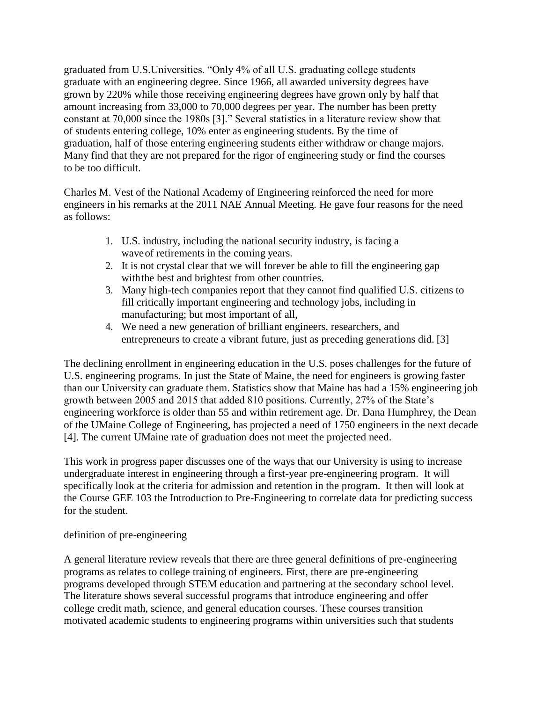graduated from U.S.Universities. "Only 4% of all U.S. graduating college students graduate with an engineering degree. Since 1966, all awarded university degrees have grown by 220% while those receiving engineering degrees have grown only by half that amount increasing from 33,000 to 70,000 degrees per year. The number has been pretty constant at 70,000 since the 1980s [3]." Several statistics in a literature review show that of students entering college, 10% enter as engineering students. By the time of graduation, half of those entering engineering students either withdraw or change majors. Many find that they are not prepared for the rigor of engineering study or find the courses to be too difficult.

Charles M. Vest of the National Academy of Engineering reinforced the need for more engineers in his remarks at the 2011 NAE Annual Meeting. He gave four reasons for the need as follows:

- 1. U.S. industry, including the national security industry, is facing a waveof retirements in the coming years.
- 2. It is not crystal clear that we will forever be able to fill the engineering gap withthe best and brightest from other countries.
- 3. Many high-tech companies report that they cannot find qualified U.S. citizens to fill critically important engineering and technology jobs, including in manufacturing; but most important of all,
- 4. We need a new generation of brilliant engineers, researchers, and entrepreneurs to create a vibrant future, just as preceding generations did. [3]

The declining enrollment in engineering education in the U.S. poses challenges for the future of U.S. engineering programs. In just the State of Maine, the need for engineers is growing faster than our University can graduate them. Statistics show that Maine has had a 15% engineering job growth between 2005 and 2015 that added 810 positions. Currently, 27% of the State's engineering workforce is older than 55 and within retirement age. Dr. Dana Humphrey, the Dean of the UMaine College of Engineering, has projected a need of 1750 engineers in the next decade [4]. The current UMaine rate of graduation does not meet the projected need.

This work in progress paper discusses one of the ways that our University is using to increase undergraduate interest in engineering through a first-year pre-engineering program. It will specifically look at the criteria for admission and retention in the program. It then will look at the Course GEE 103 the Introduction to Pre-Engineering to correlate data for predicting success for the student.

## definition of pre-engineering

A general literature review reveals that there are three general definitions of pre-engineering programs as relates to college training of engineers. First, there are pre-engineering programs developed through STEM education and partnering at the secondary school level. The literature shows several successful programs that introduce engineering and offer college credit math, science, and general education courses. These courses transition motivated academic students to engineering programs within universities such that students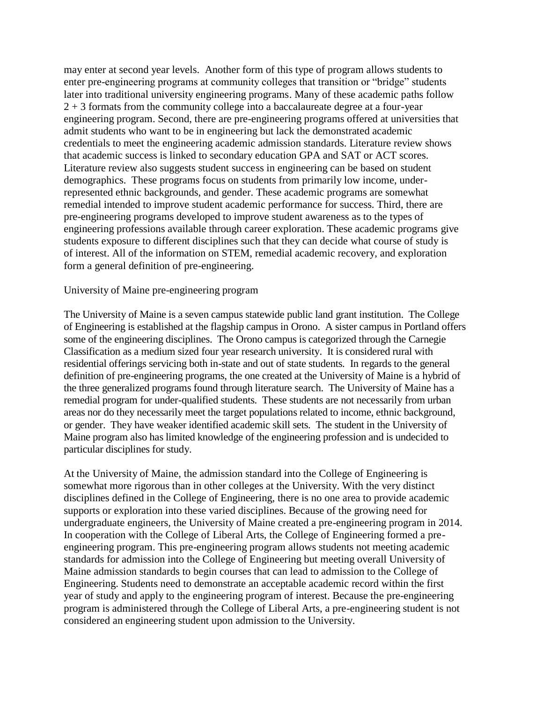may enter at second year levels. Another form of this type of program allows students to enter pre-engineering programs at community colleges that transition or "bridge" students later into traditional university engineering programs. Many of these academic paths follow 2 + 3 formats from the community college into a baccalaureate degree at a four-year engineering program. Second, there are pre-engineering programs offered at universities that admit students who want to be in engineering but lack the demonstrated academic credentials to meet the engineering academic admission standards. Literature review shows that academic success is linked to secondary education GPA and SAT or ACT scores. Literature review also suggests student success in engineering can be based on student demographics. These programs focus on students from primarily low income, underrepresented ethnic backgrounds, and gender. These academic programs are somewhat remedial intended to improve student academic performance for success. Third, there are pre-engineering programs developed to improve student awareness as to the types of engineering professions available through career exploration. These academic programs give students exposure to different disciplines such that they can decide what course of study is of interest. All of the information on STEM, remedial academic recovery, and exploration form a general definition of pre-engineering.

#### University of Maine pre-engineering program

The University of Maine is a seven campus statewide public land grant institution. The College of Engineering is established at the flagship campus in Orono. A sister campus in Portland offers some of the engineering disciplines. The Orono campus is categorized through the Carnegie Classification as a medium sized four year research university. It is considered rural with residential offerings servicing both in-state and out of state students. In regards to the general definition of pre-engineering programs, the one created at the University of Maine is a hybrid of the three generalized programs found through literature search. The University of Maine has a remedial program for under-qualified students. These students are not necessarily from urban areas nor do they necessarily meet the target populations related to income, ethnic background, or gender. They have weaker identified academic skill sets. The student in the University of Maine program also has limited knowledge of the engineering profession and is undecided to particular disciplines for study.

At the University of Maine, the admission standard into the College of Engineering is somewhat more rigorous than in other colleges at the University. With the very distinct disciplines defined in the College of Engineering, there is no one area to provide academic supports or exploration into these varied disciplines. Because of the growing need for undergraduate engineers, the University of Maine created a pre-engineering program in 2014. In cooperation with the College of Liberal Arts, the College of Engineering formed a preengineering program. This pre-engineering program allows students not meeting academic standards for admission into the College of Engineering but meeting overall University of Maine admission standards to begin courses that can lead to admission to the College of Engineering. Students need to demonstrate an acceptable academic record within the first year of study and apply to the engineering program of interest. Because the pre-engineering program is administered through the College of Liberal Arts, a pre-engineering student is not considered an engineering student upon admission to the University.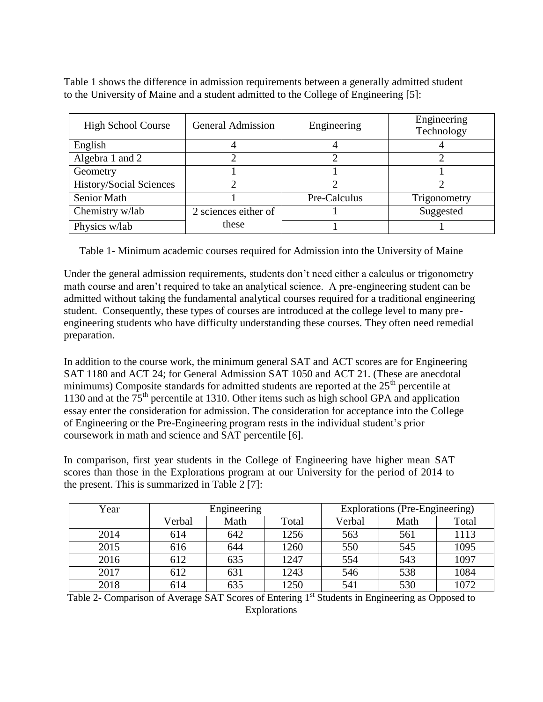Table 1 shows the difference in admission requirements between a generally admitted student to the University of Maine and a student admitted to the College of Engineering [5]:

| <b>High School Course</b>      | <b>General Admission</b> | Engineering  | Engineering<br>Technology |
|--------------------------------|--------------------------|--------------|---------------------------|
| English                        |                          |              |                           |
| Algebra 1 and 2                |                          |              |                           |
| Geometry                       |                          |              |                           |
| <b>History/Social Sciences</b> |                          |              |                           |
| Senior Math                    |                          | Pre-Calculus | Trigonometry              |
| Chemistry w/lab                | 2 sciences either of     |              | Suggested                 |
| Physics w/lab                  | these                    |              |                           |

Table 1- Minimum academic courses required for Admission into the University of Maine

Under the general admission requirements, students don't need either a calculus or trigonometry math course and aren't required to take an analytical science. A pre-engineering student can be admitted without taking the fundamental analytical courses required for a traditional engineering student. Consequently, these types of courses are introduced at the college level to many preengineering students who have difficulty understanding these courses. They often need remedial preparation.

In addition to the course work, the minimum general SAT and ACT scores are for Engineering SAT 1180 and ACT 24; for General Admission SAT 1050 and ACT 21. (These are anecdotal minimums) Composite standards for admitted students are reported at the  $25<sup>th</sup>$  percentile at 1130 and at the  $75<sup>th</sup>$  percentile at 1310. Other items such as high school GPA and application essay enter the consideration for admission. The consideration for acceptance into the College of Engineering or the Pre-Engineering program rests in the individual student's prior coursework in math and science and SAT percentile [6].

In comparison, first year students in the College of Engineering have higher mean SAT scores than those in the Explorations program at our University for the period of 2014 to the present. This is summarized in Table 2 [7]:

| Year | Engineering |      |       |        | Explorations (Pre-Engineering) |       |  |
|------|-------------|------|-------|--------|--------------------------------|-------|--|
|      | Verbal      | Math | Total | Verbal | Math                           | Total |  |
| 2014 | 614         | 642  | 1256  | 563    | 561                            | 1113  |  |
| 2015 | 616         | 644  | 1260  | 550    | 545                            | 1095  |  |
| 2016 | 612         | 635  | 1247  | 554    | 543                            | 1097  |  |
| 2017 | 612         | 631  | 1243  | 546    | 538                            | 1084  |  |
| 2018 | 614         | 635  | 1250  | 541    | 530                            | 1072  |  |

Table 2- Comparison of Average SAT Scores of Entering 1<sup>st</sup> Students in Engineering as Opposed to Explorations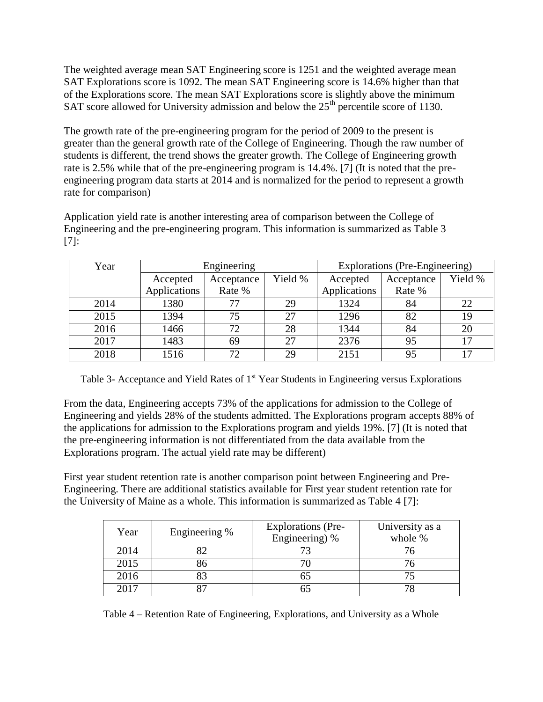The weighted average mean SAT Engineering score is 1251 and the weighted average mean SAT Explorations score is 1092. The mean SAT Engineering score is 14.6% higher than that of the Explorations score. The mean SAT Explorations score is slightly above the minimum SAT score allowed for University admission and below the  $25<sup>th</sup>$  percentile score of 1130.

The growth rate of the pre-engineering program for the period of 2009 to the present is greater than the general growth rate of the College of Engineering. Though the raw number of students is different, the trend shows the greater growth. The College of Engineering growth rate is 2.5% while that of the pre-engineering program is 14.4%. [7] (It is noted that the preengineering program data starts at 2014 and is normalized for the period to represent a growth rate for comparison)

Application yield rate is another interesting area of comparison between the College of Engineering and the pre-engineering program. This information is summarized as Table 3 [7]:

| Year | Engineering            |        |         | Explorations (Pre-Engineering) |            |         |
|------|------------------------|--------|---------|--------------------------------|------------|---------|
|      | Accepted<br>Acceptance |        | Yield % | Accepted                       | Acceptance | Yield % |
|      | Applications           | Rate % |         | Applications                   | Rate %     |         |
| 2014 | 1380                   | 77     | 29      | 1324                           | 84         | 22      |
| 2015 | 1394                   | 75     | 27      | 1296                           | 82         | 19      |
| 2016 | 1466                   | 72.    | 28      | 1344                           | 84         | 20      |
| 2017 | 1483                   | 69     | 27      | 2376                           | 95         | 17      |
| 2018 | 1516                   | 72     | 29      | 2151                           | 95         | 17      |

Table 3- Acceptance and Yield Rates of 1<sup>st</sup> Year Students in Engineering versus Explorations

From the data, Engineering accepts 73% of the applications for admission to the College of Engineering and yields 28% of the students admitted. The Explorations program accepts 88% of the applications for admission to the Explorations program and yields 19%. [7] (It is noted that the pre-engineering information is not differentiated from the data available from the Explorations program. The actual yield rate may be different)

First year student retention rate is another comparison point between Engineering and Pre-Engineering. There are additional statistics available for First year student retention rate for the University of Maine as a whole. This information is summarized as Table 4 [7]:

| Year | Engineering % | <b>Explorations (Pre-</b><br>Engineering) % | University as a<br>whole % |
|------|---------------|---------------------------------------------|----------------------------|
| 2014 |               |                                             |                            |
| 2015 |               |                                             |                            |
| 2016 |               |                                             |                            |
| 2017 |               |                                             |                            |

Table 4 – Retention Rate of Engineering, Explorations, and University as a Whole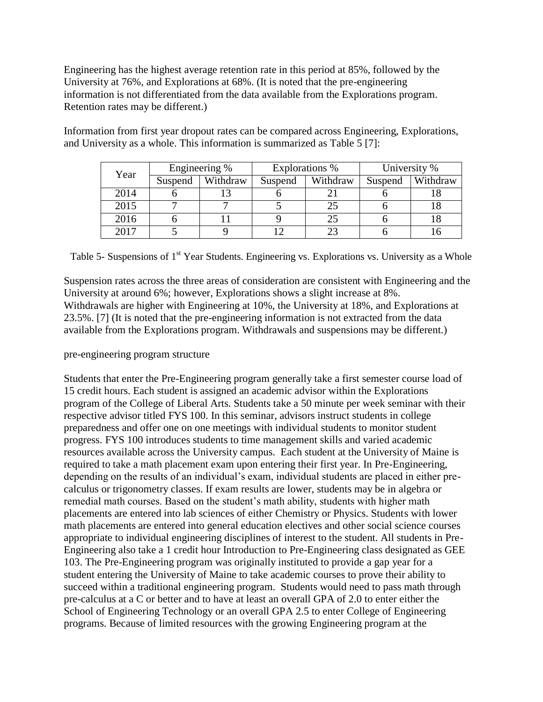Engineering has the highest average retention rate in this period at 85%, followed by the University at 76%, and Explorations at 68%. (It is noted that the pre-engineering information is not differentiated from the data available from the Explorations program. Retention rates may be different.)

|  | Year | Engineering % |          | Explorations % |          | University % |          |
|--|------|---------------|----------|----------------|----------|--------------|----------|
|  |      | Suspend       | Withdraw | Suspend        | Withdraw | Suspend      | Withdraw |
|  | 2014 |               |          |                |          |              |          |
|  | 2015 |               |          |                |          |              |          |
|  | 2016 |               |          |                |          |              |          |
|  | 2017 |               |          |                |          |              |          |

Information from first year dropout rates can be compared across Engineering, Explorations, and University as a whole. This information is summarized as Table 5 [7]:

Table 5- Suspensions of 1<sup>st</sup> Year Students. Engineering vs. Explorations vs. University as a Whole

Suspension rates across the three areas of consideration are consistent with Engineering and the University at around 6%; however, Explorations shows a slight increase at 8%. Withdrawals are higher with Engineering at 10%, the University at 18%, and Explorations at 23.5%. [7] (It is noted that the pre-engineering information is not extracted from the data available from the Explorations program. Withdrawals and suspensions may be different.)

### pre-engineering program structure

Students that enter the Pre-Engineering program generally take a first semester course load of 15 credit hours. Each student is assigned an academic advisor within the Explorations program of the College of Liberal Arts. Students take a 50 minute per week seminar with their respective advisor titled FYS 100. In this seminar, advisors instruct students in college preparedness and offer one on one meetings with individual students to monitor student progress. FYS 100 introduces students to time management skills and varied academic resources available across the University campus. Each student at the University of Maine is required to take a math placement exam upon entering their first year. In Pre-Engineering, depending on the results of an individual's exam, individual students are placed in either precalculus or trigonometry classes. If exam results are lower, students may be in algebra or remedial math courses. Based on the student's math ability, students with higher math placements are entered into lab sciences of either Chemistry or Physics. Students with lower math placements are entered into general education electives and other social science courses appropriate to individual engineering disciplines of interest to the student. All students in Pre-Engineering also take a 1 credit hour Introduction to Pre-Engineering class designated as GEE 103. The Pre-Engineering program was originally instituted to provide a gap year for a student entering the University of Maine to take academic courses to prove their ability to succeed within a traditional engineering program. Students would need to pass math through pre-calculus at a C or better and to have at least an overall GPA of 2.0 to enter either the School of Engineering Technology or an overall GPA 2.5 to enter College of Engineering programs. Because of limited resources with the growing Engineering program at the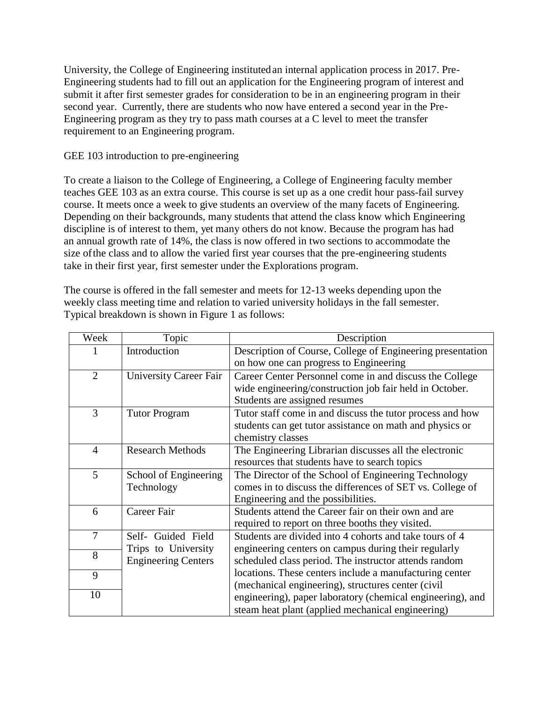University, the College of Engineering institutedan internal application process in 2017. Pre-Engineering students had to fill out an application for the Engineering program of interest and submit it after first semester grades for consideration to be in an engineering program in their second year. Currently, there are students who now have entered a second year in the Pre-Engineering program as they try to pass math courses at a C level to meet the transfer requirement to an Engineering program.

### GEE 103 introduction to pre-engineering

To create a liaison to the College of Engineering, a College of Engineering faculty member teaches GEE 103 as an extra course. This course is set up as a one credit hour pass-fail survey course. It meets once a week to give students an overview of the many facets of Engineering. Depending on their backgrounds, many students that attend the class know which Engineering discipline is of interest to them, yet many others do not know. Because the program has had an annual growth rate of 14%, the class is now offered in two sections to accommodate the size ofthe class and to allow the varied first year courses that the pre-engineering students take in their first year, first semester under the Explorations program.

The course is offered in the fall semester and meets for 12-13 weeks depending upon the weekly class meeting time and relation to varied university holidays in the fall semester. Typical breakdown is shown in Figure 1 as follows:

| Week           | Topic                                             | Description                                                                                                                                             |  |  |  |
|----------------|---------------------------------------------------|---------------------------------------------------------------------------------------------------------------------------------------------------------|--|--|--|
|                | Introduction                                      | Description of Course, College of Engineering presentation<br>on how one can progress to Engineering                                                    |  |  |  |
| $\overline{2}$ | <b>University Career Fair</b>                     | Career Center Personnel come in and discuss the College<br>wide engineering/construction job fair held in October.<br>Students are assigned resumes     |  |  |  |
| 3              | <b>Tutor Program</b>                              | Tutor staff come in and discuss the tutor process and how<br>students can get tutor assistance on math and physics or<br>chemistry classes              |  |  |  |
| $\overline{4}$ | <b>Research Methods</b>                           | The Engineering Librarian discusses all the electronic<br>resources that students have to search topics                                                 |  |  |  |
| 5              | School of Engineering<br>Technology               | The Director of the School of Engineering Technology<br>comes in to discuss the differences of SET vs. College of<br>Engineering and the possibilities. |  |  |  |
| 6              | Career Fair                                       | Students attend the Career fair on their own and are<br>required to report on three booths they visited.                                                |  |  |  |
| $\overline{7}$ | Guided Field<br>Self-                             | Students are divided into 4 cohorts and take tours of 4                                                                                                 |  |  |  |
| 8              | Trips to University<br><b>Engineering Centers</b> | engineering centers on campus during their regularly<br>scheduled class period. The instructor attends random                                           |  |  |  |
| 9              |                                                   | locations. These centers include a manufacturing center<br>(mechanical engineering), structures center (civil)                                          |  |  |  |
| 10             |                                                   | engineering), paper laboratory (chemical engineering), and<br>steam heat plant (applied mechanical engineering)                                         |  |  |  |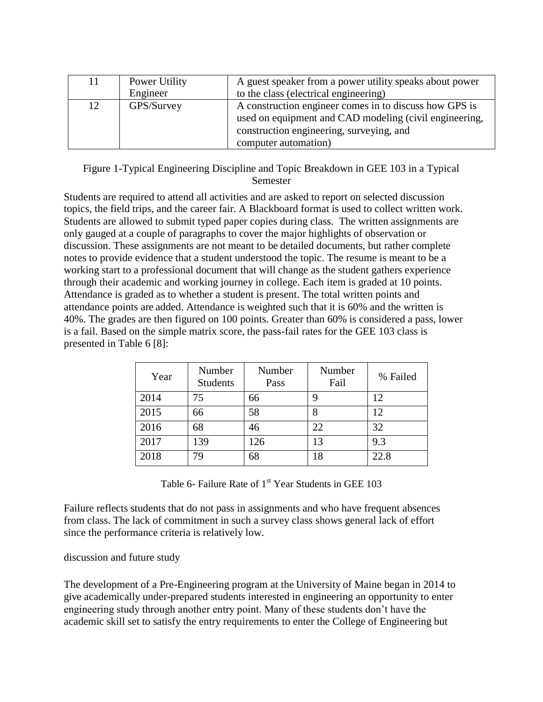| 11 | Power Utility<br>Engineer | A guest speaker from a power utility speaks about power<br>to the class (electrical engineering)                                                                                     |
|----|---------------------------|--------------------------------------------------------------------------------------------------------------------------------------------------------------------------------------|
| 12 | GPS/Survey                | A construction engineer comes in to discuss how GPS is<br>used on equipment and CAD modeling (civil engineering,<br>construction engineering, surveying, and<br>computer automation) |

Figure 1-Typical Engineering Discipline and Topic Breakdown in GEE 103 in a Typical Semester

Students are required to attend all activities and are asked to report on selected discussion topics, the field trips, and the career fair. A Blackboard format is used to collect written work. Students are allowed to submit typed paper copies during class. The written assignments are only gauged at a couple of paragraphs to cover the major highlights of observation or discussion. These assignments are not meant to be detailed documents, but rather complete notes to provide evidence that a student understood the topic. The resume is meant to be a working start to a professional document that will change as the student gathers experience through their academic and working journey in college. Each item is graded at 10 points. Attendance is graded as to whether a student is present. The total written points and attendance points are added. Attendance is weighted such that it is 60% and the written is 40%. The grades are then figured on 100 points. Greater than 60% is considered a pass, lower is a fail. Based on the simple matrix score, the pass-fail rates for the GEE 103 class is presented in Table 6 [8]:

| Year | Number<br><b>Students</b> | Number<br>Pass | Number<br>Fail | % Failed |
|------|---------------------------|----------------|----------------|----------|
| 2014 | 75                        | 66             | 9              | 12       |
| 2015 | 66                        | 58             | 8              | 12       |
| 2016 | 68                        | 46             | 22             | 32       |
| 2017 | 139                       | 126            | 13             | 9.3      |
| 2018 | 79                        | 68             | 18             | 22.8     |

Table 6- Failure Rate of  $1<sup>st</sup>$  Year Students in GEE 103

Failure reflects students that do not pass in assignments and who have frequent absences from class. The lack of commitment in such a survey class shows general lack of effort since the performance criteria is relatively low.

### discussion and future study

The development of a Pre-Engineering program at the University of Maine began in 2014 to give academically under-prepared students interested in engineering an opportunity to enter engineering study through another entry point. Many of these students don't have the academic skill set to satisfy the entry requirements to enter the College of Engineering but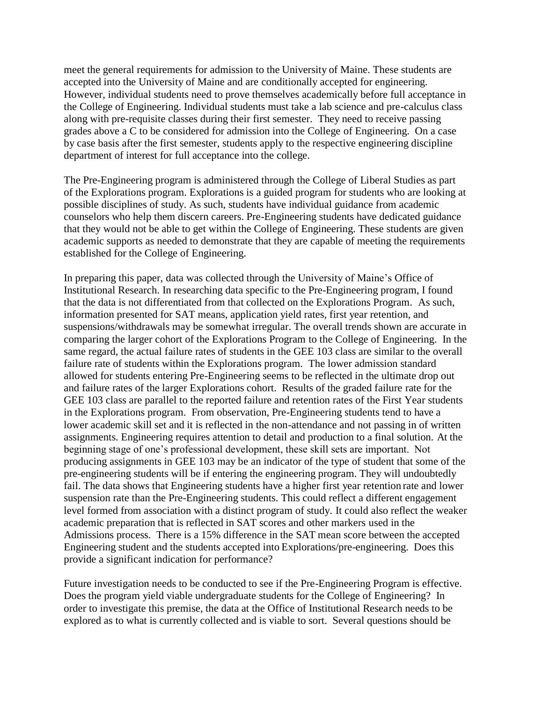meet the general requirements for admission to the University of Maine. These students are accepted into the University of Maine and are conditionally accepted for engineering. However, individual students need to prove themselves academically before full acceptance in the College of Engineering. Individual students must take a lab science and pre-calculus class along with pre-requisite classes during their first semester. They need to receive passing grades above a C to be considered for admission into the College of Engineering. On a case by case basis after the first semester, students apply to the respective engineering discipline department of interest for full acceptance into the college.

The Pre-Engineering program is administered through the College of Liberal Studies as part of the Explorations program. Explorations is a guided program for students who are looking at possible disciplines of study. As such, students have individual guidance from academic counselors who help them discern careers. Pre-Engineering students have dedicated guidance that they would not be able to get within the College of Engineering. These students are given academic supports as needed to demonstrate that they are capable of meeting the requirements established for the College of Engineering.

In preparing this paper, data was collected through the University of Maine's Office of Institutional Research. In researching data specific to the Pre-Engineering program, I found that the data is not differentiated from that collected on the Explorations Program. As such, information presented for SAT means, application yield rates, first year retention, and suspensions/withdrawals may be somewhat irregular. The overall trends shown are accurate in comparing the larger cohort of the Explorations Program to the College of Engineering. In the same regard, the actual failure rates of students in the GEE 103 class are similar to the overall failure rate of students within the Explorations program. The lower admission standard allowed for students entering Pre-Engineering seems to be reflected in the ultimate drop out and failure rates of the larger Explorations cohort. Results of the graded failure rate for the GEE 103 class are parallel to the reported failure and retention rates of the First Year students in the Explorations program. From observation, Pre-Engineering students tend to have a lower academic skill set and it is reflected in the non-attendance and not passing in of written assignments. Engineering requires attention to detail and production to a final solution. At the beginning stage of one's professional development, these skill sets are important. Not producing assignments in GEE 103 may be an indicator of the type of student that some of the pre-engineering students will be if entering the engineering program. They will undoubtedly fail. The data shows that Engineering students have a higher first year retention rate and lower suspension rate than the Pre-Engineering students. This could reflect a different engagement level formed from association with a distinct program of study. It could also reflect the weaker academic preparation that is reflected in SAT scores and other markers used in the Admissions process. There is a 15% difference in the SAT mean score between the accepted Engineering student and the students accepted into Explorations/pre-engineering. Does this provide a significant indication for performance?

Future investigation needs to be conducted to see if the Pre-Engineering Program is effective. Does the program yield viable undergraduate students for the College of Engineering? In order to investigate this premise, the data at the Office of Institutional Research needs to be explored as to what is currently collected and is viable to sort. Several questions should be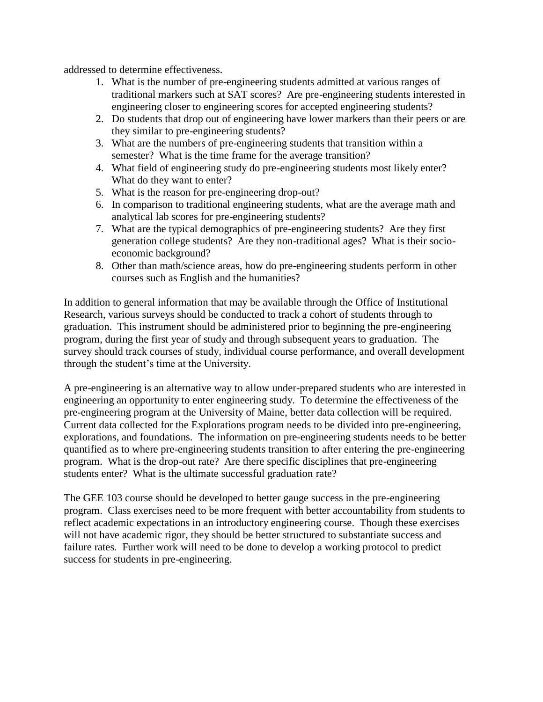addressed to determine effectiveness.

- 1. What is the number of pre-engineering students admitted at various ranges of traditional markers such at SAT scores? Are pre-engineering students interested in engineering closer to engineering scores for accepted engineering students?
- 2. Do students that drop out of engineering have lower markers than their peers or are they similar to pre-engineering students?
- 3. What are the numbers of pre-engineering students that transition within a semester? What is the time frame for the average transition?
- 4. What field of engineering study do pre-engineering students most likely enter? What do they want to enter?
- 5. What is the reason for pre-engineering drop-out?
- 6. In comparison to traditional engineering students, what are the average math and analytical lab scores for pre-engineering students?
- 7. What are the typical demographics of pre-engineering students? Are they first generation college students? Are they non-traditional ages? What is their socioeconomic background?
- 8. Other than math/science areas, how do pre-engineering students perform in other courses such as English and the humanities?

In addition to general information that may be available through the Office of Institutional Research, various surveys should be conducted to track a cohort of students through to graduation. This instrument should be administered prior to beginning the pre-engineering program, during the first year of study and through subsequent years to graduation. The survey should track courses of study, individual course performance, and overall development through the student's time at the University.

A pre-engineering is an alternative way to allow under-prepared students who are interested in engineering an opportunity to enter engineering study. To determine the effectiveness of the pre-engineering program at the University of Maine, better data collection will be required. Current data collected for the Explorations program needs to be divided into pre-engineering, explorations, and foundations. The information on pre-engineering students needs to be better quantified as to where pre-engineering students transition to after entering the pre-engineering program. What is the drop-out rate? Are there specific disciplines that pre-engineering students enter? What is the ultimate successful graduation rate?

The GEE 103 course should be developed to better gauge success in the pre-engineering program. Class exercises need to be more frequent with better accountability from students to reflect academic expectations in an introductory engineering course. Though these exercises will not have academic rigor, they should be better structured to substantiate success and failure rates. Further work will need to be done to develop a working protocol to predict success for students in pre-engineering.